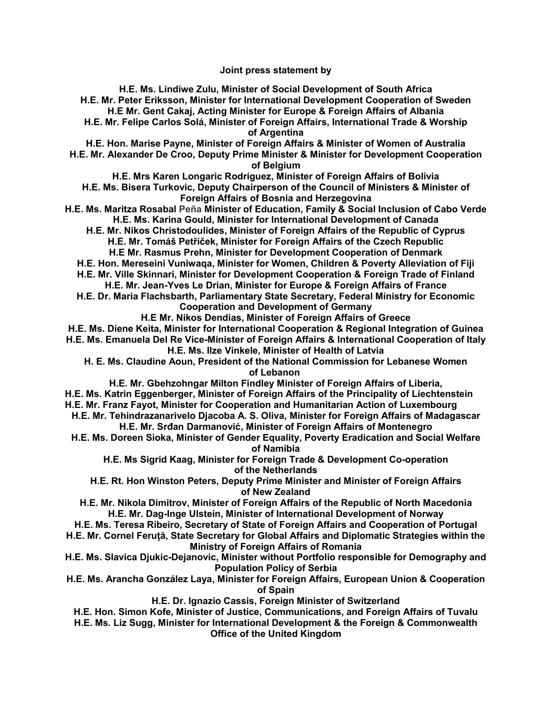**Joint press statement by**

**H.E. Ms. Lindiwe Zulu, Minister of Social Development of South Africa H.E. Mr. Peter Eriksson, Minister for International Development Cooperation of Sweden H.E Mr. Gent Cakaj, Acting Minister for Europe & Foreign Affairs of Albania H.E. Mr. Felipe Carlos Solá, Minister of Foreign Affairs, International Trade & Worship of Argentina H.E. Hon. Marise Payne, Minister of Foreign Affairs & Minister of Women of Australia H.E. Mr. Alexander De Croo, Deputy Prime Minister & Minister for Development Cooperation of Belgium H.E. Mrs Karen Longaric Rodríguez, Minister of Foreign Affairs of Bolivia H.E. Ms. Bisera Turkovic, Deputy Chairperson of the Council of Ministers & Minister of Foreign Affairs of Bosnia and Herzegovina H.E. Ms. Maritza Rosabal Peña Minister of Education, Family & Social Inclusion of Cabo Verde H.E. Ms. Karina Gould, Minister for International Development of Canada H.E. Mr. Nikos Christodoulides, Minister of Foreign Affairs of the Republic of Cyprus H.E. Mr. Tomáš Petříček, Minister for Foreign Affairs of the Czech Republic H.E Mr. Rasmus Prehn, Minister for Development Cooperation of Denmark H.E. Hon. Mereseini Vuniwaqa, Minister for Women, Children & Poverty Alleviation of Fiji H.E. Mr. Ville Skinnari, Minister for Development Cooperation & Foreign Trade of Finland H.E. Mr. Jean-Yves Le Drian, Minister for Europe & Foreign Affairs of France H.E. Dr. Maria Flachsbarth, Parliamentary State Secretary, Federal Ministry for Economic Cooperation and Development of Germany H.E Mr. Nikos Dendias, Minister of Foreign Affairs of Greece H.E. Ms. Diene Keita, Minister for International Cooperation & Regional Integration of Guinea H.E. Ms. Emanuela Del Re Vice-Minister of Foreign Affairs & International Cooperation of Italy H.E. Ms. Ilze Vinkele, Minister of Health of Latvia H. E. Ms. Claudine Aoun, President of the National Commission for Lebanese Women of Lebanon H.E. Mr. Gbehzohngar Milton Findley Minister of Foreign Affairs of Liberia, H.E. Ms. Katrin Eggenberger, Minister of Foreign Affairs of the Principality of Liechtenstein H.E. Mr. Franz Fayot, Minister for Cooperation and Humanitarian Action of Luxembourg H.E. Mr. Tehindrazanarivelo Djacoba A. S. Oliva, Minister for Foreign Affairs of Madagascar H.E. Mr. Srđan Darmanović, Minister of Foreign Affairs of Montenegro H.E. Ms. Doreen Sioka, Minister of Gender Equality, Poverty Eradication and Social Welfare of Namibia H.E. Ms Sigrid Kaag, Minister for Foreign Trade & Development Co-operation of the Netherlands H.E. Rt. Hon Winston Peters, Deputy Prime Minister and Minister of Foreign Affairs of New Zealand H.E. Mr. Nikola Dimitrov, Minister of Foreign Affairs of the Republic of North Macedonia H.E. Mr. Dag-Inge Ulstein, Minister of International Development of Norway H.E. Ms. Teresa Ribeiro, Secretary of State of Foreign Affairs and Cooperation of Portugal H.E. Mr. Cornel Feruță, State Secretary for Global Affairs and Diplomatic Strategies within the Ministry of Foreign Affairs of Romania H.E. Ms. Slavica Djukic-Dejanovic, Minister without Portfolio responsible for Demography and Population Policy of Serbia H.E. Ms. Arancha González Laya, Minister for Foreign Affairs, European Union & Cooperation of Spain H.E. Dr. Ignazio Cassis, Foreign Minister of Switzerland H.E. Hon. Simon Kofe, Minister of Justice, Communications, and Foreign Affairs of Tuvalu H.E. Ms. Liz Sugg, Minister for International Development & the Foreign & Commonwealth Office of the United Kingdom**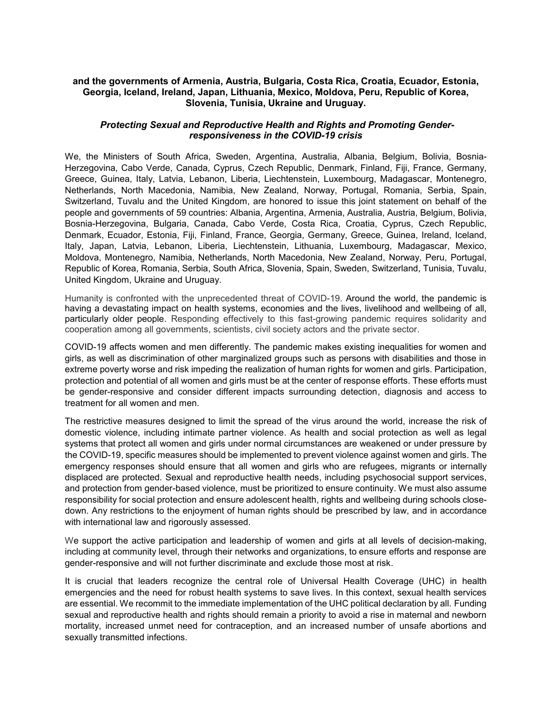## **and the governments of Armenia, Austria, Bulgaria, Costa Rica, Croatia, Ecuador, Estonia, Georgia, Iceland, Ireland, Japan, Lithuania, Mexico, Moldova, Peru, Republic of Korea, Slovenia, Tunisia, Ukraine and Uruguay.**

## *Protecting Sexual and Reproductive Health and Rights and Promoting Genderresponsiveness in the COVID-19 crisis*

We, the Ministers of South Africa, Sweden, Argentina, Australia, Albania, Belgium, Bolivia, Bosnia-Herzegovina, Cabo Verde, Canada, Cyprus, Czech Republic, Denmark, Finland, Fiji, France, Germany, Greece, Guinea, Italy, Latvia, Lebanon, Liberia, Liechtenstein, Luxembourg, Madagascar, Montenegro, Netherlands, North Macedonia, Namibia, New Zealand, Norway, Portugal, Romania, Serbia, Spain, Switzerland, Tuvalu and the United Kingdom, are honored to issue this joint statement on behalf of the people and governments of 59 countries: Albania, Argentina, Armenia, Australia, Austria, Belgium, Bolivia, Bosnia-Herzegovina, Bulgaria, Canada, Cabo Verde, Costa Rica, Croatia, Cyprus, Czech Republic, Denmark, Ecuador, Estonia, Fiji, Finland, France, Georgia, Germany, Greece, Guinea, Ireland, Iceland, Italy, Japan, Latvia, Lebanon, Liberia, Liechtenstein, Lithuania, Luxembourg, Madagascar, Mexico, Moldova, Montenegro, Namibia, Netherlands, North Macedonia, New Zealand, Norway, Peru, Portugal, Republic of Korea, Romania, Serbia, South Africa, Slovenia, Spain, Sweden, Switzerland, Tunisia, Tuvalu, United Kingdom, Ukraine and Uruguay.

Humanity is confronted with the unprecedented threat of COVID-19. Around the world, the pandemic is having a devastating impact on health systems, economies and the lives, livelihood and wellbeing of all, particularly older people. Responding effectively to this fast-growing pandemic requires solidarity and cooperation among all governments, scientists, civil society actors and the private sector.

COVID-19 affects women and men differently. The pandemic makes existing inequalities for women and girls, as well as discrimination of other marginalized groups such as persons with disabilities and those in extreme poverty worse and risk impeding the realization of human rights for women and girls. Participation, protection and potential of all women and girls must be at the center of response efforts. These efforts must be gender-responsive and consider different impacts surrounding detection, diagnosis and access to treatment for all women and men.

The restrictive measures designed to limit the spread of the virus around the world, increase the risk of domestic violence, including intimate partner violence. As health and social protection as well as legal systems that protect all women and girls under normal circumstances are weakened or under pressure by the COVID-19, specific measures should be implemented to prevent violence against women and girls. The emergency responses should ensure that all women and girls who are refugees, migrants or internally displaced are protected. Sexual and reproductive health needs, including psychosocial support services, and protection from gender-based violence, must be prioritized to ensure continuity. We must also assume responsibility for social protection and ensure adolescent health, rights and wellbeing during schools closedown. Any restrictions to the enjoyment of human rights should be prescribed by law, and in accordance with international law and rigorously assessed.

We support the active participation and leadership of women and girls at all levels of decision-making, including at community level, through their networks and organizations, to ensure efforts and response are gender-responsive and will not further discriminate and exclude those most at risk.

It is crucial that leaders recognize the central role of Universal Health Coverage (UHC) in health emergencies and the need for robust health systems to save lives. In this context, sexual health services are essential. We recommit to the immediate implementation of the UHC political declaration by all. Funding sexual and reproductive health and rights should remain a priority to avoid a rise in maternal and newborn mortality, increased unmet need for contraception, and an increased number of unsafe abortions and sexually transmitted infections.